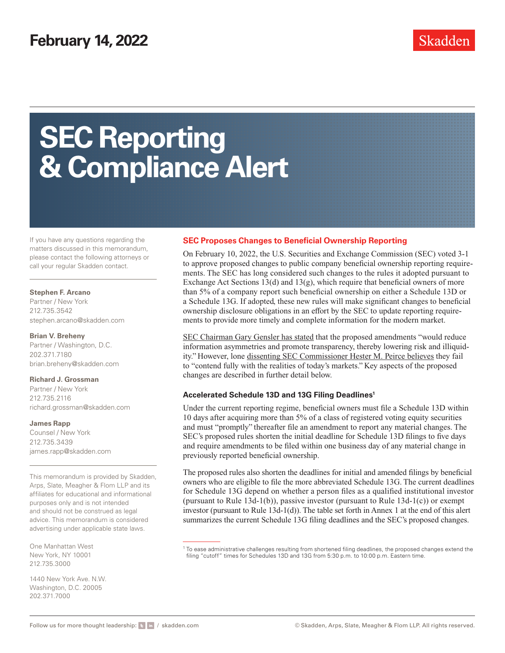# **SEC Reporting & Compliance Alert**

If you have any questions regarding the matters discussed in this memorandum, please contact the following attorneys or call your regular Skadden contact.

### **Stephen F. Arcano**

Partner / New York 212.735.3542 [stephen.arcano@skadden.com](mailto:stephen.arcano@skadden.com)

### **Brian V. Breheny**

Partner / Washington, D.C. 202.371.7180 [brian.breheny@skadden.com](mailto:brian.breheny@skadden.com)

### **Richard J. Grossman**

Partner / New York 212.735.2116 [richard.grossman@skadden.com](mailto:richard.grossman@skadden.com)

### **James Rapp**

Counsel / New York 212.735.3439 [james.rapp@skadden.com](mailto:james.rapp@skadden.com)

This memorandum is provided by Skadden, Arps, Slate, Meagher & Flom LLP and its affiliates for educational and informational purposes only and is not intended and should not be construed as legal advice. This memorandum is considered advertising under applicable state laws.

One Manhattan West New York, NY 10001 212.735.3000

1440 New York Ave. N.W. Washington, D.C. 20005 202.371.7000

# **SEC Proposes Changes to Beneficial Ownership Reporting**

On February 10, 2022, the U.S. Securities and Exchange Commission (SEC) voted 3-1 to approve proposed changes to public company beneficial ownership reporting requirements. The SEC has long considered such changes to the rules it adopted pursuant to Exchange Act Sections 13(d) and 13(g), which require that beneficial owners of more than 5% of a company report such beneficial ownership on either a Schedule 13D or a Schedule 13G. If adopted, these new rules will make significant changes to beneficial ownership disclosure obligations in an effort by the SEC to update reporting requirements to provide more timely and complete information for the modern market.

[SEC Chairman Gary Gensler has stated](https://www.sec.gov/news/statement/gensler-statement-beneficial-ownership-proposal-021022) that the proposed amendments "would reduce information asymmetries and promote transparency, thereby lowering risk and illiquidity." However, lone [dissenting SEC Commissioner Hester M. Peirce believes](https://www.sec.gov/news/statement/peirce-13d-20220210) they fail to "contend fully with the realities of today's markets." Key aspects of the proposed changes are described in further detail below.

### **Accelerated Schedule 13D and 13G Filing Deadlines1**

Under the current reporting regime, beneficial owners must file a Schedule 13D within 10 days after acquiring more than 5% of a class of registered voting equity securities and must "promptly" thereafter file an amendment to report any material changes. The SEC's proposed rules shorten the initial deadline for Schedule 13D filings to five days and require amendments to be filed within one business day of any material change in previously reported beneficial ownership.

The proposed rules also shorten the deadlines for initial and amended filings by beneficial owners who are eligible to file the more abbreviated Schedule 13G. The current deadlines for Schedule 13G depend on whether a person files as a qualified institutional investor (pursuant to Rule 13d-1(b)), passive investor (pursuant to Rule 13d-1(c)) or exempt investor (pursuant to Rule 13d-1(d)). The table set forth in Annex 1 at the end of this alert summarizes the current Schedule 13G filing deadlines and the SEC's proposed changes.

 $^1$  To ease administrative challenges resulting from shortened filing deadlines, the proposed changes extend the filing "cutoff" times for Schedules 13D and 13G from 5:30 p.m. to 10:00 p.m. Eastern time.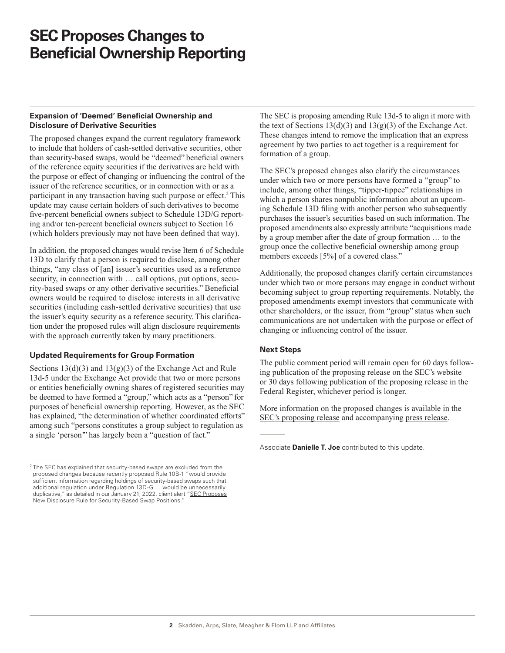# **SEC Proposes Changes to Beneficial Ownership Reporting**

### **Expansion of 'Deemed' Beneficial Ownership and Disclosure of Derivative Securities**

The proposed changes expand the current regulatory framework to include that holders of cash-settled derivative securities, other than security-based swaps, would be "deemed" beneficial owners of the reference equity securities if the derivatives are held with the purpose or effect of changing or influencing the control of the issuer of the reference securities, or in connection with or as a participant in any transaction having such purpose or effect.<sup>2</sup> This update may cause certain holders of such derivatives to become five-percent beneficial owners subject to Schedule 13D/G reporting and/or ten-percent beneficial owners subject to Section 16 (which holders previously may not have been defined that way).

In addition, the proposed changes would revise Item 6 of Schedule 13D to clarify that a person is required to disclose, among other things, "any class of [an] issuer's securities used as a reference security, in connection with ... call options, put options, security-based swaps or any other derivative securities." Beneficial owners would be required to disclose interests in all derivative securities (including cash-settled derivative securities) that use the issuer's equity security as a reference security. This clarification under the proposed rules will align disclosure requirements with the approach currently taken by many practitioners.

# **Updated Requirements for Group Formation**

Sections  $13(d)(3)$  and  $13(g)(3)$  of the Exchange Act and Rule 13d-5 under the Exchange Act provide that two or more persons or entities beneficially owning shares of registered securities may be deemed to have formed a "group," which acts as a "person" for purposes of beneficial ownership reporting. However, as the SEC has explained, "the determination of whether coordinated efforts" among such "persons constitutes a group subject to regulation as a single 'person'" has largely been a "question of fact."

The SEC is proposing amending Rule 13d-5 to align it more with the text of Sections  $13(d)(3)$  and  $13(g)(3)$  of the Exchange Act. These changes intend to remove the implication that an express agreement by two parties to act together is a requirement for formation of a group.

The SEC's proposed changes also clarify the circumstances under which two or more persons have formed a "group" to include, among other things, "tipper-tippee" relationships in which a person shares nonpublic information about an upcoming Schedule 13D filing with another person who subsequently purchases the issuer's securities based on such information. The proposed amendments also expressly attribute "acquisitions made by a group member after the date of group formation … to the group once the collective beneficial ownership among group members exceeds [5%] of a covered class."

Additionally, the proposed changes clarify certain circumstances under which two or more persons may engage in conduct without becoming subject to group reporting requirements. Notably, the proposed amendments exempt investors that communicate with other shareholders, or the issuer, from "group" status when such communications are not undertaken with the purpose or effect of changing or influencing control of the issuer.

# **Next Steps**

The public comment period will remain open for 60 days following publication of the proposing release on the SEC's website or 30 days following publication of the proposing release in the Federal Register, whichever period is longer.

More information on the proposed changes is available in the [SEC's proposing release](https://www.skadden.com/-/media/files/publications/2022/02/sec-proposes-rule-amendments/secs-proposing-release.pdf) and accompanying [press release.](https://www.sec.gov/news/press-release/2022-22)

<sup>&</sup>lt;sup>2</sup> The SEC has explained that security-based swaps are excluded from the proposed changes because recently proposed Rule 10B-1 "would provide sufficient information regarding holdings of security-based swaps such that additional regulation under Regulation 13D-G … would be unnecessarily duplicative," as detailed in our January 21, 2022, client alert ["SEC Proposes](https://www.skadden.com/insights/publications/2022/01/sec-proposes-new-disclosure-rule) [New Disclosure Rule for Security-Based Swap Positions.](https://www.skadden.com/insights/publications/2022/01/sec-proposes-new-disclosure-rule)"

Associate **Danielle T. Joe** contributed to this update.